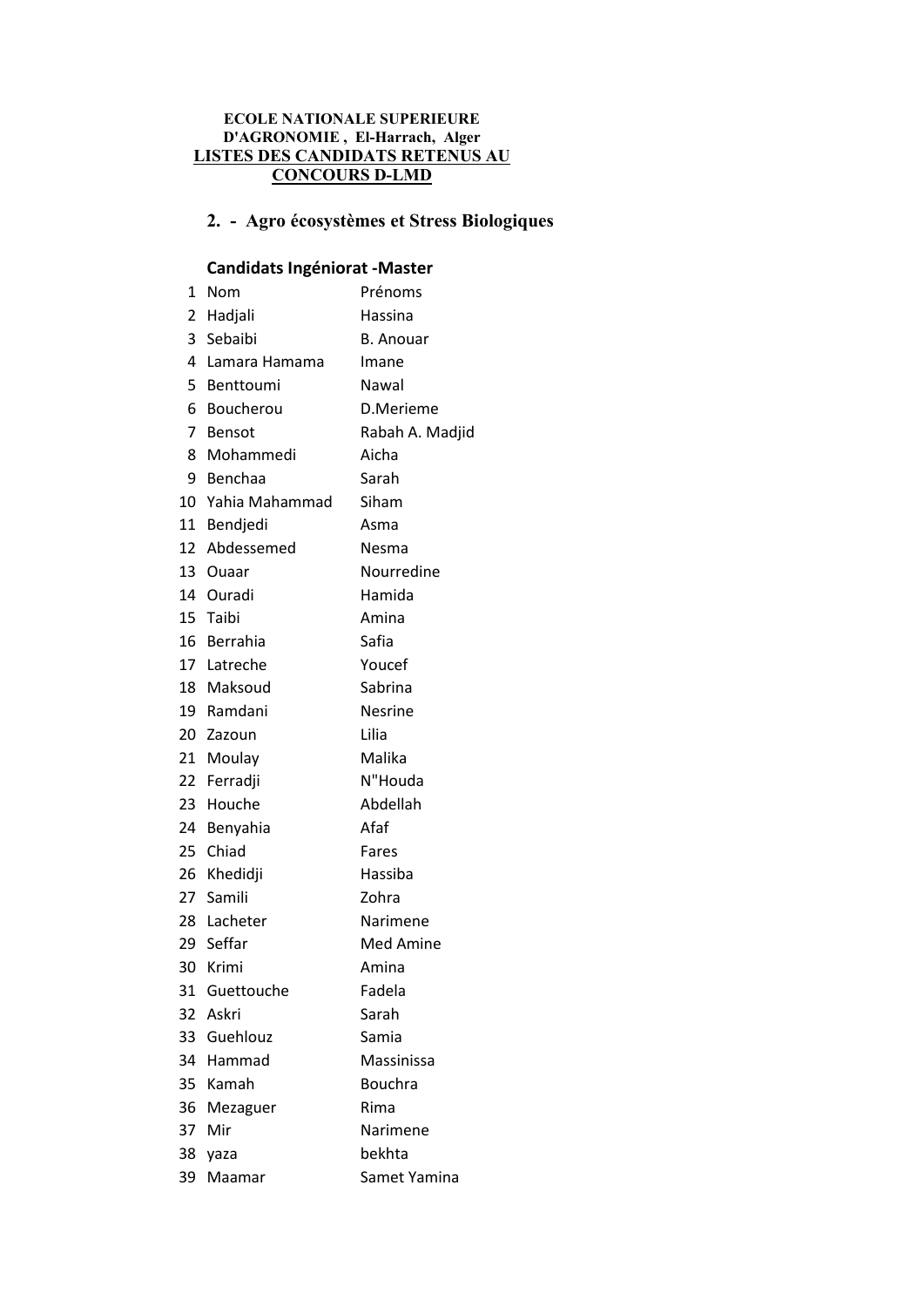#### ECOLE NATIONALE SUPERIEURE D'AGRONOMIE , El-Harrach, Alger LISTES DES CANDIDATS RETENUS AU CONCOURS D-LMD

# 2. - Agro écosystèmes et Stress Biologiques

# Candidats Ingéniorat -Master

| 1  | Nom               | Prénoms          |  |
|----|-------------------|------------------|--|
|    | 2 Hadjali         | Hassina          |  |
|    | 3 Sebaibi         | <b>B.</b> Anouar |  |
|    | 4 Lamara Hamama   | Imane            |  |
|    | 5 Benttoumi       | Nawal            |  |
|    | 6 Boucherou       | D.Merieme        |  |
| 7  | Bensot            | Rabah A. Madjid  |  |
|    | 8 Mohammedi       | Aicha            |  |
|    | 9 Benchaa         | Sarah            |  |
|    | 10 Yahia Mahammad | Siham            |  |
|    | 11 Bendjedi       | Asma             |  |
|    | 12 Abdessemed     | Nesma            |  |
|    | 13 Ouaar          | Nourredine       |  |
|    | 14 Ouradi         | Hamida           |  |
|    | 15 Taibi          | Amina            |  |
|    | 16 Berrahia       | Safia            |  |
|    | 17 Latreche       | Youcef           |  |
|    | 18 Maksoud        | Sabrina          |  |
|    | 19 Ramdani        | Nesrine          |  |
|    | 20 Zazoun         | Lilia            |  |
|    | 21 Moulay         | Malika           |  |
|    | 22 Ferradji       | N"Houda          |  |
| 23 | Houche            | Abdellah         |  |
|    | 24 Benyahia       | Afaf             |  |
|    | 25 Chiad          | Fares            |  |
|    | 26 Khedidji       | Hassiba          |  |
|    | 27 Samili         | Zohra            |  |
|    | 28 Lacheter       | Narimene         |  |
|    | 29 Seffar         | Med Amine        |  |
|    | 30 Krimi          | Amina            |  |
| 31 | Guettouche        | Fadela           |  |
|    | 32 Askri          | Sarah            |  |
| 33 | Guehlouz          | Samia            |  |
|    | 34 Hammad         | Massinissa       |  |
| 35 | Kamah             | <b>Bouchra</b>   |  |
| 36 | Mezaguer          | Rima             |  |
| 37 | Mir               | Narimene         |  |
| 38 | yaza              | bekhta           |  |
| 39 | Maamar            | Samet Yamina     |  |